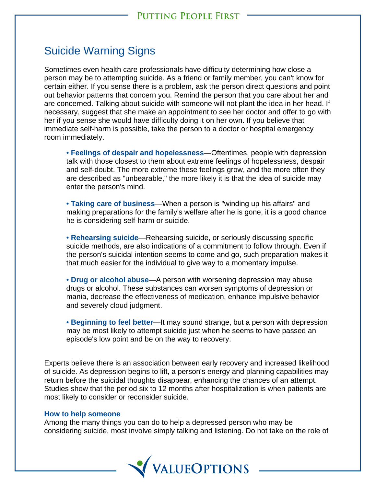## Suicide Warning Signs

Sometimes even health care professionals have difficulty determining how close a person may be to attempting suicide. As a friend or family member, you can't know for certain either. If you sense there is a problem, ask the person direct questions and point out behavior patterns that concern you. Remind the person that you care about her and are concerned. Talking about suicide with someone will not plant the idea in her head. If necessary, suggest that she make an appointment to see her doctor and offer to go with her if you sense she would have difficulty doing it on her own. If you believe that immediate self-harm is possible, take the person to a doctor or hospital emergency room immediately.

• **Feelings of despair and hopelessness**—Oftentimes, people with depression talk with those closest to them about extreme feelings of hopelessness, despair and self-doubt. The more extreme these feelings grow, and the more often they are described as "unbearable," the more likely it is that the idea of suicide may enter the person's mind.

• **Taking care of business**—When a person is "winding up his affairs" and making preparations for the family's welfare after he is gone, it is a good chance he is considering self-harm or suicide.

• **Rehearsing suicide**—Rehearsing suicide, or seriously discussing specific suicide methods, are also indications of a commitment to follow through. Even if the person's suicidal intention seems to come and go, such preparation makes it that much easier for the individual to give way to a momentary impulse.

• **Drug or alcohol abuse**—A person with worsening depression may abuse drugs or alcohol. These substances can worsen symptoms of depression or mania, decrease the effectiveness of medication, enhance impulsive behavior and severely cloud judgment.

• **Beginning to feel better**—It may sound strange, but a person with depression may be most likely to attempt suicide just when he seems to have passed an episode's low point and be on the way to recovery.

Experts believe there is an association between early recovery and increased likelihood of suicide. As depression begins to lift, a person's energy and planning capabilities may return before the suicidal thoughts disappear, enhancing the chances of an attempt. Studies show that the period six to 12 months after hospitalization is when patients are most likely to consider or reconsider suicide.

## **How to help someone**

Among the many things you can do to help a depressed person who may be considering suicide, most involve simply talking and listening. Do not take on the role of

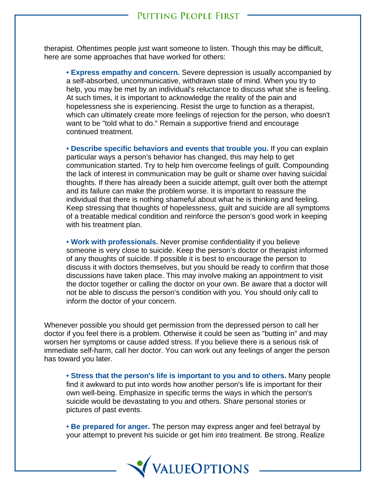therapist. Oftentimes people just want someone to listen. Though this may be difficult, here are some approaches that have worked for others:

• **Express empathy and concern.** Severe depression is usually accompanied by a self-absorbed, uncommunicative, withdrawn state of mind. When you try to help, you may be met by an individual's reluctance to discuss what she is feeling. At such times, it is important to acknowledge the reality of the pain and hopelessness she is experiencing. Resist the urge to function as a therapist, which can ultimately create more feelings of rejection for the person, who doesn't want to be "told what to do." Remain a supportive friend and encourage continued treatment.

• **Describe specific behaviors and events that trouble you.** If you can explain particular ways a person's behavior has changed, this may help to get communication started. Try to help him overcome feelings of guilt. Compounding the lack of interest in communication may be guilt or shame over having suicidal thoughts. If there has already been a suicide attempt, guilt over both the attempt and its failure can make the problem worse. It is important to reassure the individual that there is nothing shameful about what he is thinking and feeling. Keep stressing that thoughts of hopelessness, guilt and suicide are all symptoms of a treatable medical condition and reinforce the person's good work in keeping with his treatment plan.

• **Work with professionals.** Never promise confidentiality if you believe someone is very close to suicide. Keep the person's doctor or therapist informed of any thoughts of suicide. If possible it is best to encourage the person to discuss it with doctors themselves, but you should be ready to confirm that those discussions have taken place. This may involve making an appointment to visit the doctor together or calling the doctor on your own. Be aware that a doctor will not be able to discuss the person's condition with you. You should only call to inform the doctor of your concern.

Whenever possible you should get permission from the depressed person to call her doctor if you feel there is a problem. Otherwise it could be seen as "butting in" and may worsen her symptoms or cause added stress. If you believe there is a serious risk of immediate self-harm, call her doctor. You can work out any feelings of anger the person has toward you later.

• **Stress that the person's life is important to you and to others.** Many people find it awkward to put into words how another person's life is important for their own well-being. Emphasize in specific terms the ways in which the person's suicide would be devastating to you and others. Share personal stories or pictures of past events.

• **Be prepared for anger.** The person may express anger and feel betrayal by your attempt to prevent his suicide or get him into treatment. Be strong. Realize